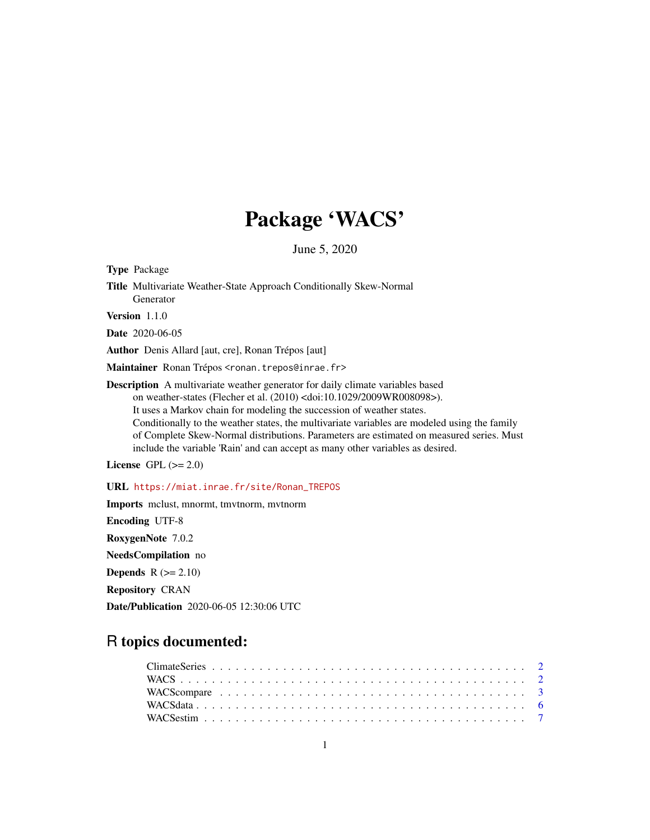# Package 'WACS'

June 5, 2020

Type Package Title Multivariate Weather-State Approach Conditionally Skew-Normal Generator Version 1.1.0 Date 2020-06-05

Author Denis Allard [aut, cre], Ronan Trépos [aut]

Maintainer Ronan Trépos <ronan.trepos@inrae.fr>

Description A multivariate weather generator for daily climate variables based on weather-states (Flecher et al. (2010) <doi:10.1029/2009WR008098>). It uses a Markov chain for modeling the succession of weather states. Conditionally to the weather states, the multivariate variables are modeled using the family of Complete Skew-Normal distributions. Parameters are estimated on measured series. Must include the variable 'Rain' and can accept as many other variables as desired.

License GPL  $(>= 2.0)$ 

URL [https://miat.inrae.fr/site/Ronan\\_TREPOS](https://miat.inrae.fr/site/Ronan_TREPOS)

Imports mclust, mnormt, tmvtnorm, mvtnorm Encoding UTF-8 RoxygenNote 7.0.2 NeedsCompilation no Depends  $R (= 2.10)$ Repository CRAN Date/Publication 2020-06-05 12:30:06 UTC

# R topics documented: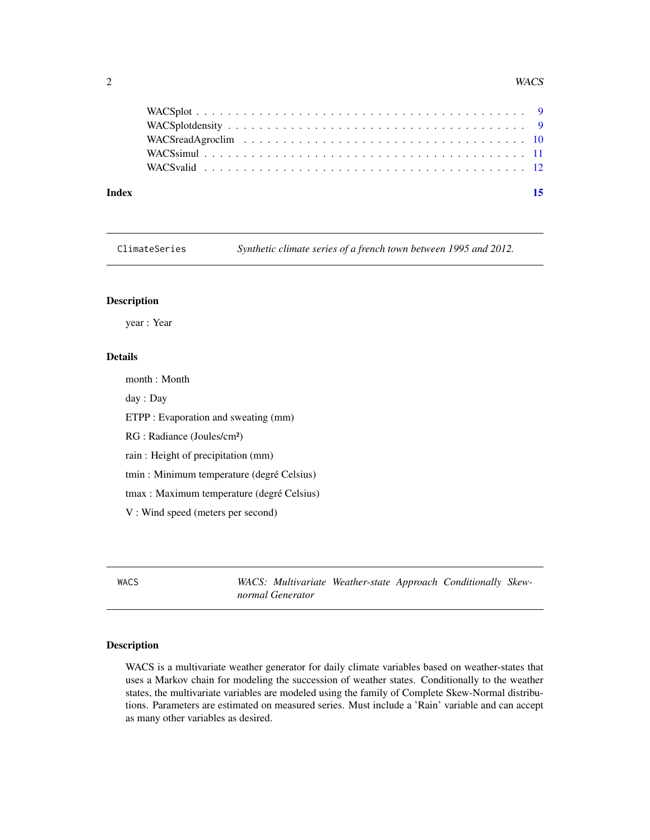#### <span id="page-1-0"></span>2 and 2 was a set of the set of the set of the set of the set of the set of the set of the set of the set of the set of the set of the set of the set of the set of the set of the set of the set of the set of the set of the

| Index | $\overline{15}$ |
|-------|-----------------|
|       |                 |
|       |                 |
|       |                 |
|       |                 |
|       |                 |

ClimateSeries *Synthetic climate series of a french town between 1995 and 2012.*

# Description

year : Year

# Details

month : Month

day : Day

ETPP : Evaporation and sweating (mm)

RG : Radiance (Joules/cm²)

rain : Height of precipitation (mm)

tmin : Minimum temperature (degré Celsius)

tmax : Maximum temperature (degré Celsius)

V : Wind speed (meters per second)

WACS *WACS: Multivariate Weather-state Approach Conditionally Skewnormal Generator*

#### Description

WACS is a multivariate weather generator for daily climate variables based on weather-states that uses a Markov chain for modeling the succession of weather states. Conditionally to the weather states, the multivariate variables are modeled using the family of Complete Skew-Normal distributions. Parameters are estimated on measured series. Must include a 'Rain' variable and can accept as many other variables as desired.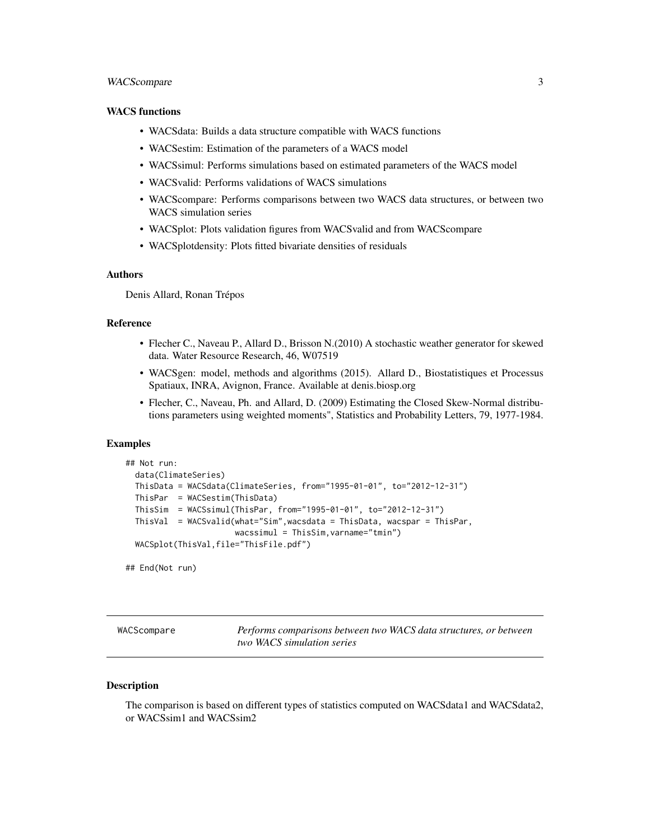# <span id="page-2-0"></span>WACScompare 3

#### WACS functions

- WACSdata: Builds a data structure compatible with WACS functions
- WACSestim: Estimation of the parameters of a WACS model
- WACSsimul: Performs simulations based on estimated parameters of the WACS model
- WACSvalid: Performs validations of WACS simulations
- WACScompare: Performs comparisons between two WACS data structures, or between two WACS simulation series
- WACSplot: Plots validation figures from WACSvalid and from WACScompare
- WACSplotdensity: Plots fitted bivariate densities of residuals

# Authors

Denis Allard, Ronan Trépos

# Reference

- Flecher C., Naveau P., Allard D., Brisson N.(2010) A stochastic weather generator for skewed data. Water Resource Research, 46, W07519
- WACSgen: model, methods and algorithms (2015). Allard D., Biostatistiques et Processus Spatiaux, INRA, Avignon, France. Available at denis.biosp.org
- Flecher, C., Naveau, Ph. and Allard, D. (2009) Estimating the Closed Skew-Normal distributions parameters using weighted moments", Statistics and Probability Letters, 79, 1977-1984.

# Examples

```
## Not run:
 data(ClimateSeries)
 ThisData = WACSdata(ClimateSeries, from="1995-01-01", to="2012-12-31")
 ThisPar = WACSestim(ThisData)
 ThisSim = WACSsimul(ThisPar, from="1995-01-01", to="2012-12-31")
 ThisVal = WACSvalid(what="Sim",wacsdata = ThisData, wacspar = ThisPar,
                       wacssimul = ThisSim,varname="tmin")
 WACSplot(ThisVal,file="ThisFile.pdf")
```
## End(Not run)

|  | wacscompare |  |  |
|--|-------------|--|--|
|  |             |  |  |

<span id="page-2-1"></span>WACScompare *Performs comparisons between two WACS data structures, or between two WACS simulation series*

#### **Description**

The comparison is based on different types of statistics computed on WACSdata1 and WACSdata2, or WACSsim1 and WACSsim2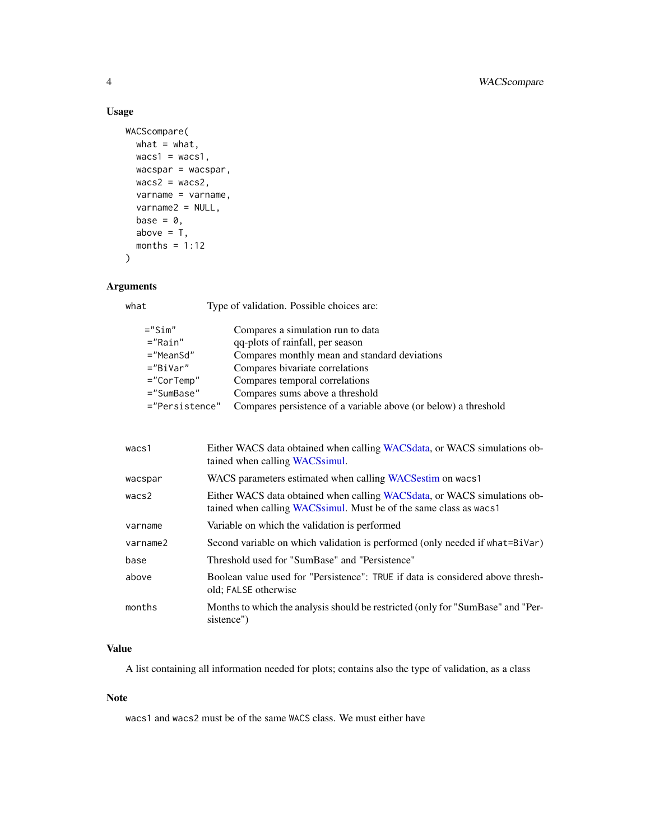# Usage

```
WACScompare(
 what = what,
 wacs1 = wacs1,wacspar = wacspar,
 wacs2 = wacs2,
 varname = varname,
  varname2 = NULL,
 base = \theta,
 above = T,
 months = 1:12)
```
# Arguments

what Type of validation. Possible choices are:

| $=$ "Sim"      | Compares a simulation run to data                               |
|----------------|-----------------------------------------------------------------|
| $="$ $Rain"$   | qq-plots of rainfall, per season                                |
| $=$ "MeanSd"   | Compares monthly mean and standard deviations                   |
| $=$ "BiVar"    | Compares bivariate correlations                                 |
| $="CorTemp''$  | Compares temporal correlations                                  |
| $=$ "SumBase"  | Compares sums above a threshold                                 |
| ="Persistence" | Compares persistence of a variable above (or below) a threshold |

| wacs1    | Either WACS data obtained when calling WACS data, or WACS simulations ob-<br>tained when calling WACS simul.                                     |
|----------|--------------------------------------------------------------------------------------------------------------------------------------------------|
| wacspar  | WACS parameters estimated when calling WACS estim on wacs 1                                                                                      |
| wacs2    | Either WACS data obtained when calling WACS data, or WACS simulations ob-<br>tained when calling WACS simul. Must be of the same class as wacs 1 |
| varname  | Variable on which the validation is performed                                                                                                    |
| varname2 | Second variable on which validation is performed (only needed if what=BiVar)                                                                     |
| base     | Threshold used for "SumBase" and "Persistence"                                                                                                   |
| above    | Boolean value used for "Persistence": TRUE if data is considered above thresh-<br>old; FALSE otherwise                                           |
| months   | Months to which the analysis should be restricted (only for "SumBase" and "Per-<br>sistence")                                                    |

# Value

A list containing all information needed for plots; contains also the type of validation, as a class

#### Note

wacs1 and wacs2 must be of the same WACS class. We must either have

<span id="page-3-0"></span>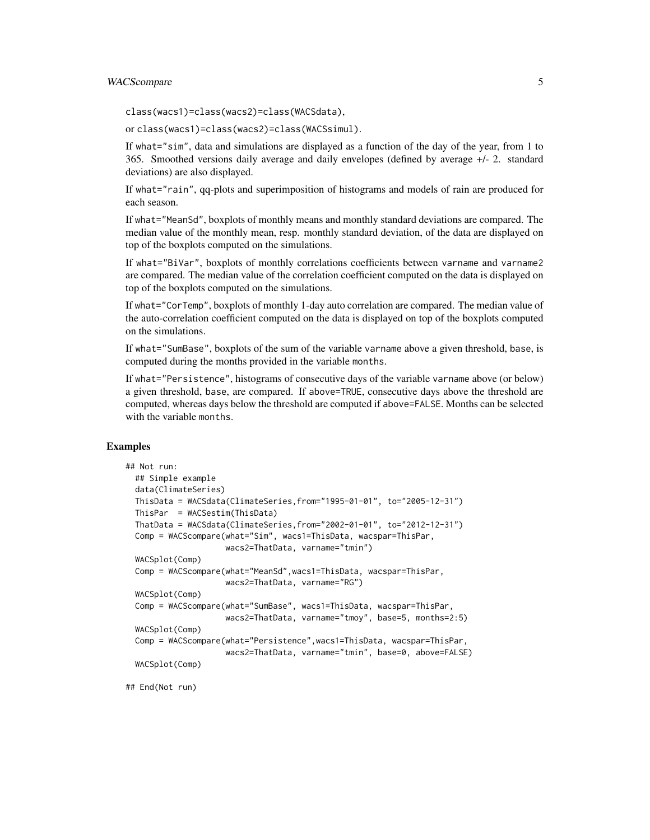# WACScompare 5

class(wacs1)=class(wacs2)=class(WACSdata),

or class(wacs1)=class(wacs2)=class(WACSsimul).

If what="sim", data and simulations are displayed as a function of the day of the year, from 1 to 365. Smoothed versions daily average and daily envelopes (defined by average +/- 2. standard deviations) are also displayed.

If what="rain", qq-plots and superimposition of histograms and models of rain are produced for each season.

If what="MeanSd", boxplots of monthly means and monthly standard deviations are compared. The median value of the monthly mean, resp. monthly standard deviation, of the data are displayed on top of the boxplots computed on the simulations.

If what="BiVar", boxplots of monthly correlations coefficients between varname and varname2 are compared. The median value of the correlation coefficient computed on the data is displayed on top of the boxplots computed on the simulations.

If what="CorTemp", boxplots of monthly 1-day auto correlation are compared. The median value of the auto-correlation coefficient computed on the data is displayed on top of the boxplots computed on the simulations.

If what="SumBase", boxplots of the sum of the variable varname above a given threshold, base, is computed during the months provided in the variable months.

If what="Persistence", histograms of consecutive days of the variable varname above (or below) a given threshold, base, are compared. If above=TRUE, consecutive days above the threshold are computed, whereas days below the threshold are computed if above=FALSE. Months can be selected with the variable months.

#### Examples

```
## Not run:
 ## Simple example
 data(ClimateSeries)
 ThisData = WACSdata(ClimateSeries,from="1995-01-01", to="2005-12-31")
 ThisPar = WACSestim(ThisData)
 ThatData = WACSdata(ClimateSeries,from="2002-01-01", to="2012-12-31")
 Comp = WACScompare(what="Sim", wacs1=ThisData, wacspar=ThisPar,
                     wacs2=ThatData, varname="tmin")
 WACSplot(Comp)
 Comp = WACScompare(what="MeanSd",wacs1=ThisData, wacspar=ThisPar,
                     wacs2=ThatData, varname="RG")
 WACSplot(Comp)
 Comp = WACScompare(what="SumBase", wacs1=ThisData, wacspar=ThisPar,
                     wacs2=ThatData, varname="tmoy", base=5, months=2:5)
 WACSplot(Comp)
 Comp = WACScompare(what="Persistence",wacs1=ThisData, wacspar=ThisPar,
                     wacs2=ThatData, varname="tmin", base=0, above=FALSE)
 WACSplot(Comp)
```
## End(Not run)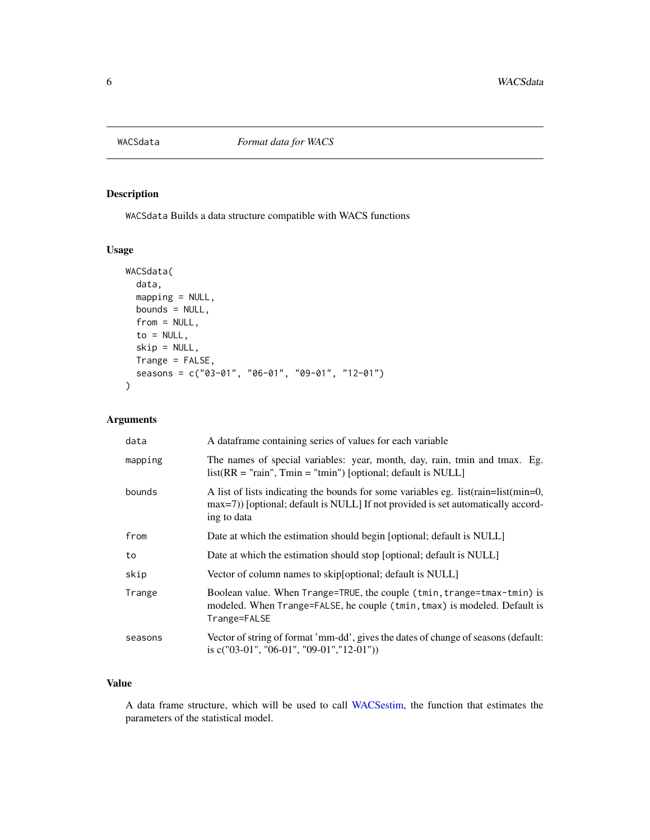<span id="page-5-1"></span><span id="page-5-0"></span>

# Description

WACSdata Builds a data structure compatible with WACS functions

# Usage

```
WACSdata(
  data,
  mapping = NULL,
 bounds = NULL,
  from = NULL,to = NULL,
  skip = NULL,
 Trange = FALSE,
  seasons = c("03-01", "06-01", "09-01", "12-01")
\mathcal{L}
```
# Arguments

| data    | A data frame containing series of values for each variable                                                                                                                             |
|---------|----------------------------------------------------------------------------------------------------------------------------------------------------------------------------------------|
| mapping | The names of special variables: year, month, day, rain, tmin and tmax. Eg.<br>$list(RR = "rain", Tmin = "tmin")$ [optional; default is NULL]                                           |
| bounds  | A list of lists indicating the bounds for some variables eg. list (rain=list (min=0,<br>max=7) [optional; default is NULL] If not provided is set automatically accord-<br>ing to data |
| from    | Date at which the estimation should begin [optional; default is NULL]                                                                                                                  |
| to      | Date at which the estimation should stop [optional; default is NULL]                                                                                                                   |
| skip    | Vector of column names to skip [optional; default is NULL]                                                                                                                             |
| Trange  | Boolean value. When Trange=TRUE, the couple (tmin, trange=tmax-tmin) is<br>modeled. When Trange=FALSE, he couple (tmin, tmax) is modeled. Default is<br>Trange=FALSE                   |
| seasons | Vector of string of format 'mm-dd', gives the dates of change of seasons (default:<br>is $c("03-01", "06-01", "09-01", "12-01"))$                                                      |

# Value

A data frame structure, which will be used to call [WACSestim,](#page-6-1) the function that estimates the parameters of the statistical model.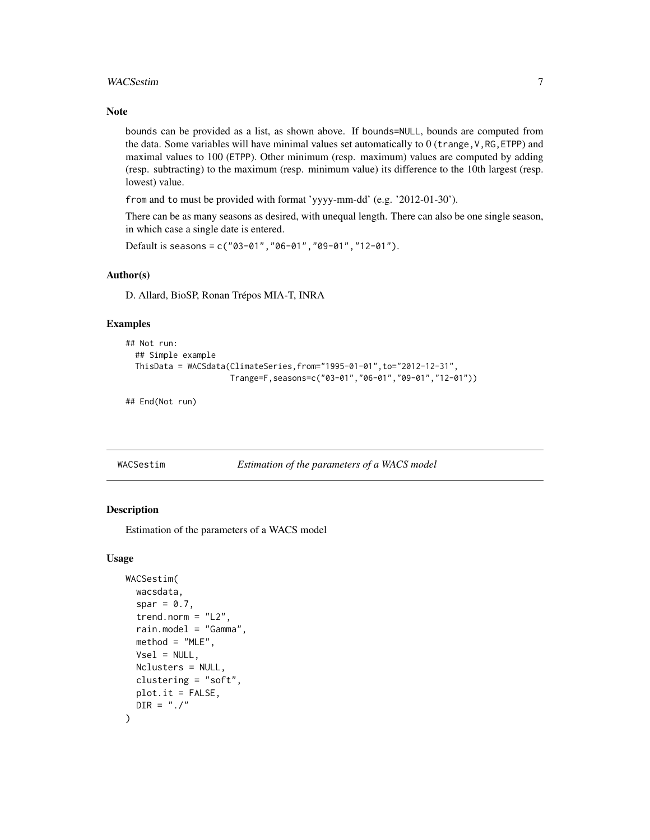#### <span id="page-6-0"></span>WACSestim 27

#### Note

bounds can be provided as a list, as shown above. If bounds=NULL, bounds are computed from the data. Some variables will have minimal values set automatically to  $0$  (trange,  $V$ , RG, ETPP) and maximal values to 100 (ETPP). Other minimum (resp. maximum) values are computed by adding (resp. subtracting) to the maximum (resp. minimum value) its difference to the 10th largest (resp. lowest) value.

from and to must be provided with format 'yyyy-mm-dd' (e.g. '2012-01-30').

There can be as many seasons as desired, with unequal length. There can also be one single season, in which case a single date is entered.

Default is seasons = c("03-01","06-01","09-01","12-01").

# Author(s)

D. Allard, BioSP, Ronan Trépos MIA-T, INRA

#### Examples

```
## Not run:
 ## Simple example
 ThisData = WACSdata(ClimateSeries,from="1995-01-01",to="2012-12-31",
                      Trange=F,seasons=c("03-01","06-01","09-01","12-01"))
```
## End(Not run)

<span id="page-6-1"></span>WACSestim *Estimation of the parameters of a WACS model*

#### **Description**

Estimation of the parameters of a WACS model

#### Usage

```
WACSestim(
 wacsdata,
  spar = 0.7,trend.norm = "L2",
  rain.model = "Gamma",
 method = "MLE",Vsel = NULL,Nclusters = NULL,
 clustering = "soft",
 plot.it = FALSE,DIR = "./")
```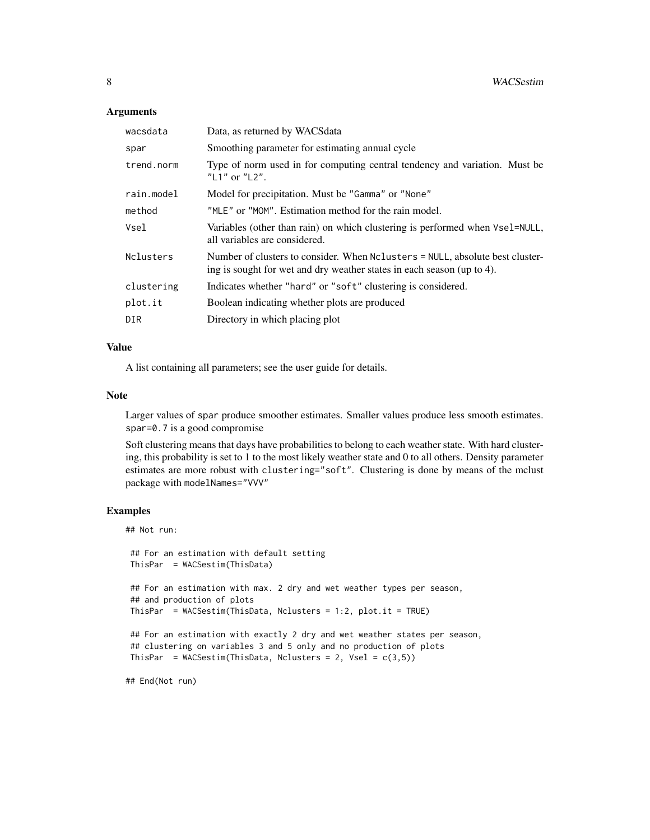#### **Arguments**

| wacsdata   | Data, as returned by WACSdata                                                                                                                           |
|------------|---------------------------------------------------------------------------------------------------------------------------------------------------------|
| spar       | Smoothing parameter for estimating annual cycle                                                                                                         |
| trend.norm | Type of norm used in for computing central tendency and variation. Must be<br>"L1" or "L2".                                                             |
| rain.model | Model for precipitation. Must be "Gamma" or "None"                                                                                                      |
| method     | "MLE" or "MOM". Estimation method for the rain model.                                                                                                   |
| Vsel       | Variables (other than rain) on which clustering is performed when Vsel=NULL,<br>all variables are considered.                                           |
| Nclusters  | Number of clusters to consider. When Nclusters = NULL, absolute best cluster-<br>ing is sought for wet and dry weather states in each season (up to 4). |
| clustering | Indicates whether "hard" or "soft" clustering is considered.                                                                                            |
| plot.it    | Boolean indicating whether plots are produced                                                                                                           |
| DIR        | Directory in which placing plot                                                                                                                         |

#### Value

A list containing all parameters; see the user guide for details.

#### Note

Larger values of spar produce smoother estimates. Smaller values produce less smooth estimates. spar=0.7 is a good compromise

Soft clustering means that days have probabilities to belong to each weather state. With hard clustering, this probability is set to 1 to the most likely weather state and 0 to all others. Density parameter estimates are more robust with clustering="soft". Clustering is done by means of the mclust package with modelNames="VVV"

# Examples

```
## Not run:
 ## For an estimation with default setting
ThisPar = WACSestim(ThisData)
 ## For an estimation with max. 2 dry and wet weather types per season,
 ## and production of plots
ThisPar = WACSestim(ThisData, Nclusters = 1:2, plot.it = TRUE)
## For an estimation with exactly 2 dry and wet weather states per season,
## clustering on variables 3 and 5 only and no production of plots
ThisPar = WACSestim(ThisData, Nclusters = 2, Vsel = c(3,5))
## End(Not run)
```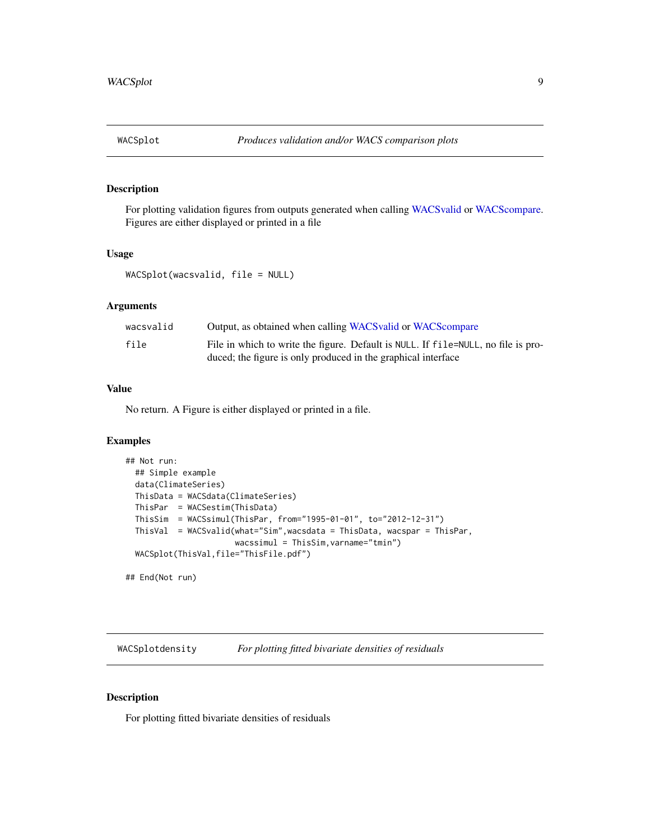<span id="page-8-0"></span>

# Description

For plotting validation figures from outputs generated when calling [WACSvalid](#page-11-1) or [WACScompare.](#page-2-1) Figures are either displayed or printed in a file

#### Usage

```
WACSplot(wacsvalid, file = NULL)
```
# Arguments

| wacsvalid | Output, as obtained when calling WACS valid or WACS compare                                                                                        |
|-----------|----------------------------------------------------------------------------------------------------------------------------------------------------|
| file      | File in which to write the figure. Default is NULL. If file=NULL, no file is pro-<br>duced; the figure is only produced in the graphical interface |

### Value

No return. A Figure is either displayed or printed in a file.

### Examples

```
## Not run:
 ## Simple example
 data(ClimateSeries)
 ThisData = WACSdata(ClimateSeries)
 ThisPar = WACSestim(ThisData)
 ThisSim = WACSsimul(ThisPar, from="1995-01-01", to="2012-12-31")
 ThisVal = WACSvalid(what="Sim",wacsdata = ThisData, wacspar = ThisPar,
                       wacssimul = ThisSim, varname="tmin")
 WACSplot(ThisVal,file="ThisFile.pdf")
## End(Not run)
```
WACSplotdensity *For plotting fitted bivariate densities of residuals*

#### Description

For plotting fitted bivariate densities of residuals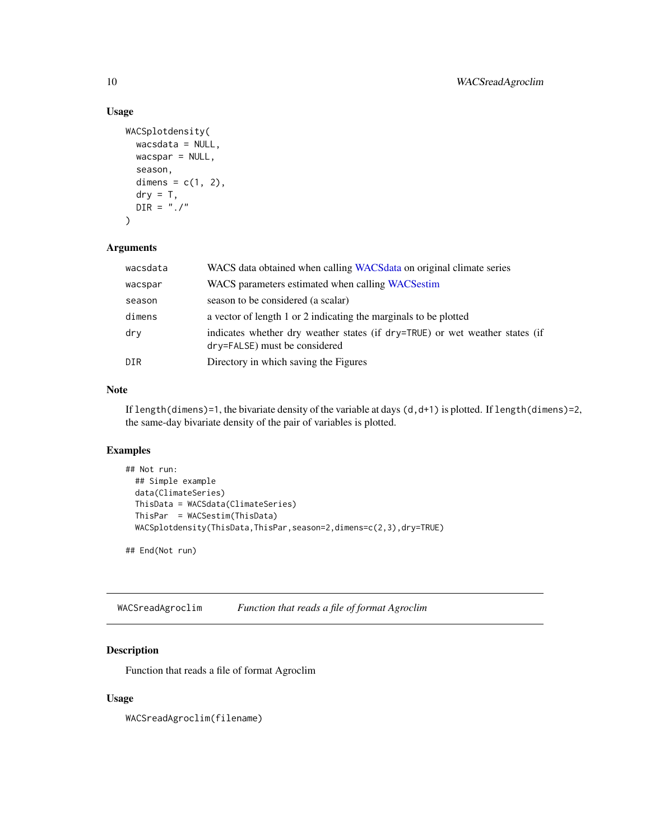# Usage

```
WACSplotdensity(
 wacsdata = NULL,
 wacspar = NULL,
  season,
  dimens = c(1, 2),
  dry = T,
 DIR = "./")
```
### Arguments

| wacsdata | WACS data obtained when calling WACSdata on original climate series                                           |
|----------|---------------------------------------------------------------------------------------------------------------|
| wacspar  | WACS parameters estimated when calling WACS estim                                                             |
| season   | season to be considered (a scalar)                                                                            |
| dimens   | a vector of length 1 or 2 indicating the marginals to be plotted                                              |
| dry      | indicates whether dry weather states (if dry=TRUE) or wet weather states (if<br>dry=FALSE) must be considered |
| DIR      | Directory in which saving the Figures                                                                         |

# Note

If length(dimens)=1, the bivariate density of the variable at days  $(d, d+1)$  is plotted. If length(dimens)=2, the same-day bivariate density of the pair of variables is plotted.

# Examples

```
## Not run:
 ## Simple example
 data(ClimateSeries)
 ThisData = WACSdata(ClimateSeries)
 ThisPar = WACSestim(ThisData)
 WACSplotdensity(ThisData,ThisPar,season=2,dimens=c(2,3),dry=TRUE)
## End(Not run)
```
WACSreadAgroclim *Function that reads a file of format Agroclim*

# Description

Function that reads a file of format Agroclim

#### Usage

WACSreadAgroclim(filename)

<span id="page-9-0"></span>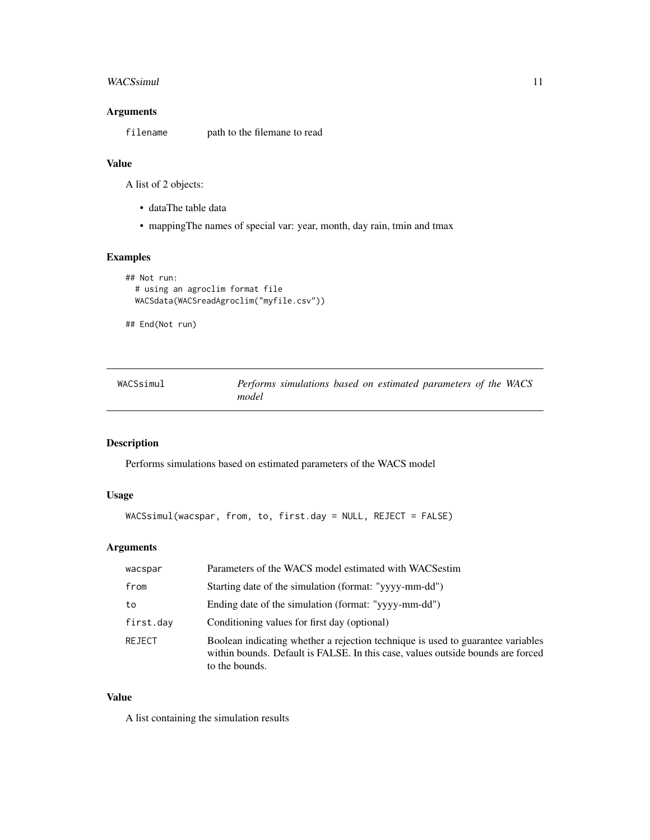### <span id="page-10-0"></span>WACSsimul 11

# Arguments

filename path to the filemane to read

# Value

A list of 2 objects:

- dataThe table data
- mappingThe names of special var: year, month, day rain, tmin and tmax

# Examples

```
## Not run:
 # using an agroclim format file
 WACSdata(WACSreadAgroclim("myfile.csv"))
```
## End(Not run)

<span id="page-10-1"></span>

| WACSsimul |       | Performs simulations based on estimated parameters of the WACS |  |  |  |  |
|-----------|-------|----------------------------------------------------------------|--|--|--|--|
|           | model |                                                                |  |  |  |  |

# Description

Performs simulations based on estimated parameters of the WACS model

# Usage

```
WACSsimul(wacspar, from, to, first.day = NULL, REJECT = FALSE)
```
# Arguments

| wacspar   | Parameters of the WACS model estimated with WACS estim                                                                                                                               |
|-----------|--------------------------------------------------------------------------------------------------------------------------------------------------------------------------------------|
| from      | Starting date of the simulation (format: "yyyy-mm-dd")                                                                                                                               |
| to        | Ending date of the simulation (format: "yyyy-mm-dd")                                                                                                                                 |
| first.day | Conditioning values for first day (optional)                                                                                                                                         |
| REJECT    | Boolean indicating whether a rejection technique is used to guarantee variables<br>within bounds. Default is FALSE. In this case, values outside bounds are forced<br>to the bounds. |

#### Value

A list containing the simulation results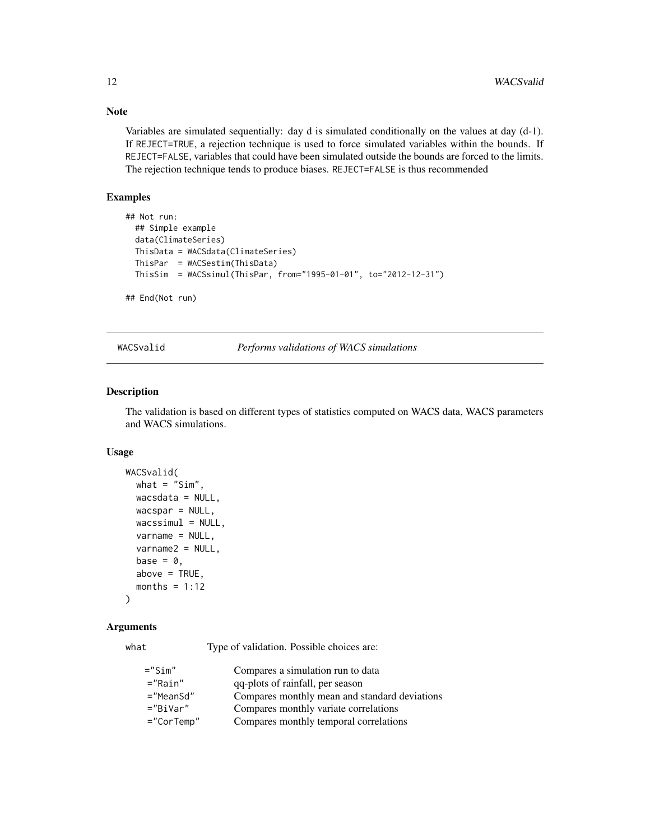<span id="page-11-0"></span>Note

Variables are simulated sequentially: day d is simulated conditionally on the values at day (d-1). If REJECT=TRUE, a rejection technique is used to force simulated variables within the bounds. If REJECT=FALSE, variables that could have been simulated outside the bounds are forced to the limits. The rejection technique tends to produce biases. REJECT=FALSE is thus recommended

# Examples

```
## Not run:
 ## Simple example
 data(ClimateSeries)
 ThisData = WACSdata(ClimateSeries)
 ThisPar = WACSestim(ThisData)
 ThisSim = WACSsimul(ThisPar, from="1995-01-01", to="2012-12-31")
```

```
## End(Not run)
```
<span id="page-11-1"></span>WACSvalid *Performs validations of WACS simulations*

#### Description

The validation is based on different types of statistics computed on WACS data, WACS parameters and WACS simulations.

#### Usage

```
WACSvalid(
  what = "Sim",wacsdata = NULL,
 wacspar = NULL,
  wacssimul = NULL,varname = NULL,
  varname2 = NULL,base = \theta,
  above = TRUE,
  months = 1:12)
```
#### Arguments

what Type of validation. Possible choices are:

| $=$ "Sim"        | Compares a simulation run to data             |
|------------------|-----------------------------------------------|
| $=$ "Rain"       | qq-plots of rainfall, per season              |
| $=$ "MeanSd"     | Compares monthly mean and standard deviations |
| $="BiiVar"$      | Compares monthly variate correlations         |
| $=$ "Cor $Temp"$ | Compares monthly temporal correlations        |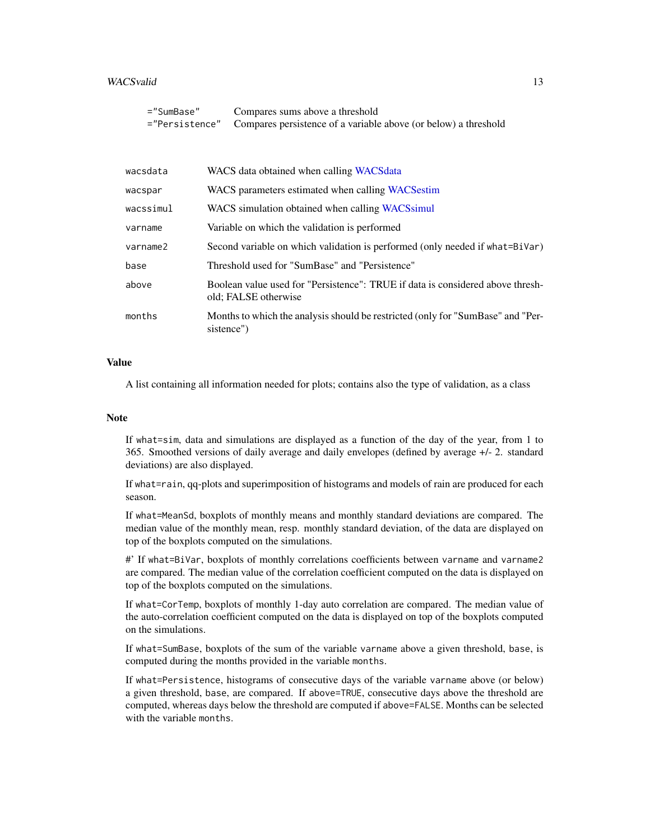#### <span id="page-12-0"></span>WACSvalid 13

| ="SumBase"     | Compares sums above a threshold                                 |
|----------------|-----------------------------------------------------------------|
| ="Persistence" | Compares persistence of a variable above (or below) a threshold |

| wacsdata  | WACS data obtained when calling WACS data                                                              |
|-----------|--------------------------------------------------------------------------------------------------------|
| wacspar   | WACS parameters estimated when calling WACS estim                                                      |
| wacssimul | WACS simulation obtained when calling WACS simul                                                       |
| varname   | Variable on which the validation is performed                                                          |
| varname2  | Second variable on which validation is performed (only needed if what=BiVar)                           |
| base      | Threshold used for "SumBase" and "Persistence"                                                         |
| above     | Boolean value used for "Persistence": TRUE if data is considered above thresh-<br>old; FALSE otherwise |
| months    | Months to which the analysis should be restricted (only for "SumBase" and "Per-<br>sistence")          |

### Value

A list containing all information needed for plots; contains also the type of validation, as a class

#### Note

If what=sim, data and simulations are displayed as a function of the day of the year, from 1 to 365. Smoothed versions of daily average and daily envelopes (defined by average +/- 2. standard deviations) are also displayed.

If what=rain, qq-plots and superimposition of histograms and models of rain are produced for each season.

If what=MeanSd, boxplots of monthly means and monthly standard deviations are compared. The median value of the monthly mean, resp. monthly standard deviation, of the data are displayed on top of the boxplots computed on the simulations.

#' If what=BiVar, boxplots of monthly correlations coefficients between varname and varname2 are compared. The median value of the correlation coefficient computed on the data is displayed on top of the boxplots computed on the simulations.

If what=CorTemp, boxplots of monthly 1-day auto correlation are compared. The median value of the auto-correlation coefficient computed on the data is displayed on top of the boxplots computed on the simulations.

If what=SumBase, boxplots of the sum of the variable varname above a given threshold, base, is computed during the months provided in the variable months.

If what=Persistence, histograms of consecutive days of the variable varname above (or below) a given threshold, base, are compared. If above=TRUE, consecutive days above the threshold are computed, whereas days below the threshold are computed if above=FALSE. Months can be selected with the variable months.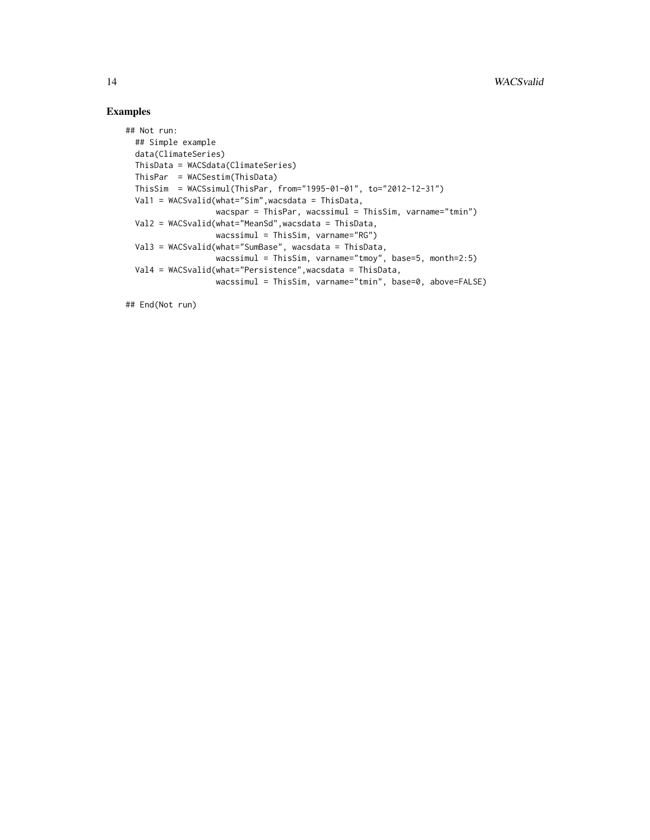# Examples

```
## Not run:
  ## Simple example
  data(ClimateSeries)
 ThisData = WACSdata(ClimateSeries)
  ThisPar = WACSestim(ThisData)
  ThisSim = WACSsimul(ThisPar, from="1995-01-01", to="2012-12-31")
  Val1 = WACSvalid(what="Sim",wacsdata = ThisData,
                  wacspar = ThisPar, wacssimul = ThisSim, varname="tmin")
  Val2 = WACSvalid(what="MeanSd",wacsdata = ThisData,
                  wacssimul = ThisSim, varname="RG")
  Val3 = WACSvalid(what="SumBase", wacsdata = ThisData,
                  wacssimul = ThisSim, varname="tmoy", base=5, month=2:5)
  Val4 = WACSvalid(what="Persistence",wacsdata = ThisData,
                  wacssimul = ThisSim, varname="tmin", base=0, above=FALSE)
```
## End(Not run)